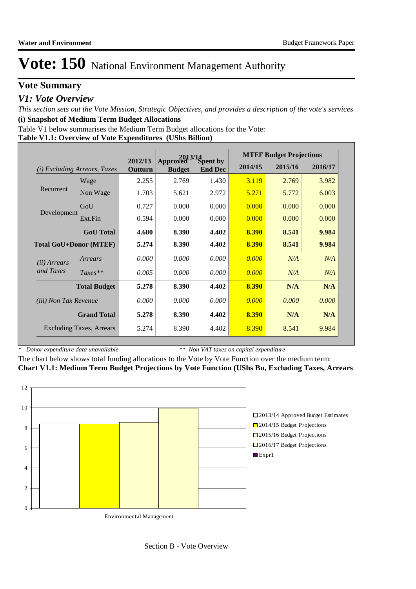## **Vote Summary**

### *V1: Vote Overview*

*This section sets out the Vote Mission, Strategic Objectives, and provides a description of the vote's services* **(i) Snapshot of Medium Term Budget Allocations** 

Table V1 below summarises the Medium Term Budget allocations for the Vote:

#### **Table V1.1: Overview of Vote Expenditures (UShs Billion)**

|                              |                                 |                    | 2013/14                   |                            |         | <b>MTEF Budget Projections</b> |         |
|------------------------------|---------------------------------|--------------------|---------------------------|----------------------------|---------|--------------------------------|---------|
| (i)                          | <i>Excluding Arrears, Taxes</i> | 2012/13<br>Outturn | Approved<br><b>Budget</b> | Spent by<br><b>End Dec</b> | 2014/15 | 2015/16                        | 2016/17 |
|                              | Wage                            | 2.255              | 2.769                     | 1.430                      | 3.119   | 2.769                          | 3.982   |
| Recurrent                    | Non Wage                        | 1.703              | 5.621                     | 2.972                      | 5.271   | 5.772                          | 6.003   |
|                              | GoU                             | 0.727              | 0.000                     | 0.000                      | 0.000   | 0.000                          | 0.000   |
| Development                  | Ext.Fin                         | 0.594              | 0.000                     | 0.000                      | 0.000   | 0.000                          | 0.000   |
|                              | <b>GoU</b> Total                | 4.680              | 8.390                     | 4.402                      | 8.390   | 8.541                          | 9.984   |
|                              | <b>Total GoU+Donor (MTEF)</b>   | 5.274              | 8.390                     | 4.402                      | 8.390   | 8.541                          | 9.984   |
| ( <i>ii</i> ) Arrears        | Arrears                         | 0.000              | 0.000                     | 0.000                      | 0.000   | N/A                            | N/A     |
| and Taxes                    | $Taxes**$                       | 0.005              | 0.000                     | 0.000                      | 0.000   | N/A                            | N/A     |
|                              | <b>Total Budget</b>             | 5.278              | 8.390                     | 4.402                      | 8.390   | N/A                            | N/A     |
| <i>(iii)</i> Non Tax Revenue |                                 | 0.000              | 0.000                     | 0.000                      | 0.000   | 0.000                          | 0.000   |
|                              | <b>Grand Total</b>              | 5.278              | 8.390                     | 4.402                      | 8.390   | N/A                            | N/A     |
|                              | <b>Excluding Taxes, Arrears</b> | 5.274              | 8.390                     | 4.402                      | 8.390   | 8.541                          | 9.984   |

*\* Donor expenditure data unavailable*

*\*\* Non VAT taxes on capital expenditure*

The chart below shows total funding allocations to the Vote by Vote Function over the medium term: **Chart V1.1: Medium Term Budget Projections by Vote Function (UShs Bn, Excluding Taxes, Arrears**

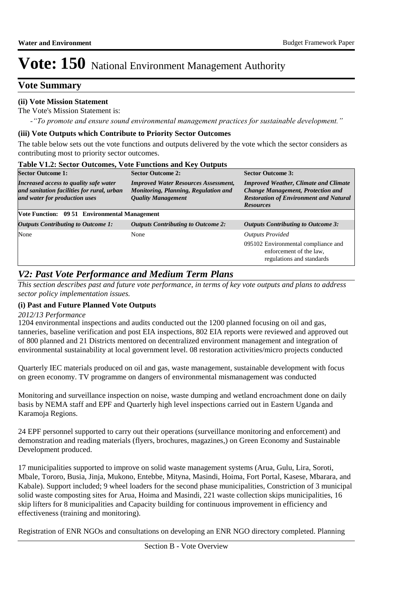## **Vote Summary**

#### **(ii) Vote Mission Statement**

The Vote's Mission Statement is:

*-"To promote and ensure sound environmental management practices for sustainable development."*

#### **(iii) Vote Outputs which Contribute to Priority Sector Outcomes**

The table below sets out the vote functions and outputs delivered by the vote which the sector considers as contributing most to priority sector outcomes.

| <b>Table V1.2: Sector Outcomes, Vote Functions and Key Outputs</b>                                                    |                                                                                                                  |                                                                                                                                                               |  |  |
|-----------------------------------------------------------------------------------------------------------------------|------------------------------------------------------------------------------------------------------------------|---------------------------------------------------------------------------------------------------------------------------------------------------------------|--|--|
| <b>Sector Outcome 1:</b>                                                                                              | <b>Sector Outcome 2:</b>                                                                                         | <b>Sector Outcome 3:</b>                                                                                                                                      |  |  |
| Increased access to quality safe water<br>and sanitation facilities for rural, urban<br>and water for production uses | <b>Improved Water Resources Assessment,</b><br>Monitoring, Planning, Regulation and<br><b>Quality Management</b> | <b>Improved Weather, Climate and Climate</b><br><b>Change Management, Protection and</b><br><b>Restoration of Environment and Natural</b><br><b>Resources</b> |  |  |
| Vote Function: 09 51 Environmental Management                                                                         |                                                                                                                  |                                                                                                                                                               |  |  |
| <b>Outputs Contributing to Outcome 1:</b>                                                                             | <b>Outputs Contributing to Outcome 2:</b>                                                                        | <b>Outputs Contributing to Outcome 3:</b>                                                                                                                     |  |  |
| None                                                                                                                  | None                                                                                                             | <b>Outputs Provided</b>                                                                                                                                       |  |  |
|                                                                                                                       |                                                                                                                  | 095102 Environmental compliance and<br>enforcement of the law.<br>regulations and standards                                                                   |  |  |

# *V2: Past Vote Performance and Medium Term Plans*

*This section describes past and future vote performance, in terms of key vote outputs and plans to address sector policy implementation issues.* 

### **(i) Past and Future Planned Vote Outputs**

#### *2012/13 Performance*

1204 environmental inspections and audits conducted out the 1200 planned focusing on oil and gas, tanneries, baseline verification and post EIA inspections, 802 EIA reports were reviewed and approved out of 800 planned and 21 Districts mentored on decentralized environment management and integration of environmental sustainability at local government level. 08 restoration activities/micro projects conducted

Quarterly IEC materials produced on oil and gas, waste management, sustainable development with focus on green economy. TV programme on dangers of environmental mismanagement was conducted

Monitoring and surveillance inspection on noise, waste dumping and wetland encroachment done on daily basis by NEMA staff and EPF and Quarterly high level inspections carried out in Eastern Uganda and Karamoja Regions.

24 EPF personnel supported to carry out their operations (surveillance monitoring and enforcement) and demonstration and reading materials (flyers, brochures, magazines,) on Green Economy and Sustainable Development produced.

17 municipalities supported to improve on solid waste management systems (Arua, Gulu, Lira, Soroti, Mbale, Tororo, Busia, Jinja, Mukono, Entebbe, Mityna, Masindi, Hoima, Fort Portal, Kasese, Mbarara, and Kabale). Support included; 9 wheel loaders for the second phase municipalities, Constriction of 3 municipal solid waste composting sites for Arua, Hoima and Masindi, 221 waste collection skips municipalities, 16 skip lifters for 8 municipalities and Capacity building for continuous improvement in efficiency and effectiveness (training and monitoring).

Registration of ENR NGOs and consultations on developing an ENR NGO directory completed. Planning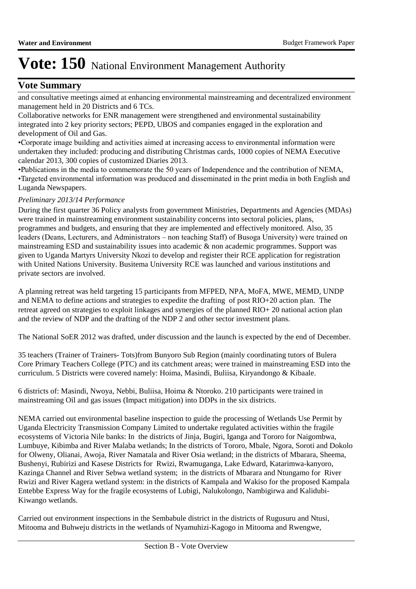## **Vote Summary**

and consultative meetings aimed at enhancing environmental mainstreaming and decentralized environment management held in 20 Districts and 6 TCs.

Collaborative networks for ENR management were strengthened and environmental sustainability integrated into 2 key priority sectors; PEPD, UBOS and companies engaged in the exploration and development of Oil and Gas.

• Corporate image building and activities aimed at increasing access to environmental information were undertaken they included: producing and distributing Christmas cards, 1000 copies of NEMA Executive calendar 2013, 300 copies of customized Diaries 2013.

• Publications in the media to commemorate the 50 years of Independence and the contribution of NEMA, • Targeted environmental information was produced and disseminated in the print media in both English and Luganda Newspapers.

#### *Preliminary 2013/14 Performance*

During the first quarter 36 Policy analysts from government Ministries, Departments and Agencies (MDAs) were trained in mainstreaming environment sustainability concerns into sectoral policies, plans, programmes and budgets, and ensuring that they are implemented and effectively monitored. Also, 35 leaders (Deans, Lecturers, and Administrators – non teaching Staff) of Busoga University) were trained on mainstreaming ESD and sustainability issues into academic & non academic programmes. Support was given to Uganda Martyrs University Nkozi to develop and register their RCE application for registration with United Nations University. Busitema University RCE was launched and various institutions and private sectors are involved.

A planning retreat was held targeting 15 participants from MFPED, NPA, MoFA, MWE, MEMD, UNDP and NEMA to define actions and strategies to expedite the drafting of post RIO+20 action plan. The retreat agreed on strategies to exploit linkages and synergies of the planned RIO+ 20 national action plan and the review of NDP and the drafting of the NDP 2 and other sector investment plans.

The National SoER 2012 was drafted, under discussion and the launch is expected by the end of December.

35 teachers (Trainer of Trainers- Tots)from Bunyoro Sub Region (mainly coordinating tutors of Bulera Core Primary Teachers College (PTC) and its catchment areas; were trained in mainstreaming ESD into the curriculum. 5 Districts were covered namely: Hoima, Masindi, Buliisa, Kiryandongo & Kibaale.

6 districts of: Masindi, Nwoya, Nebbi, Buliisa, Hoima & Ntoroko. 210 participants were trained in mainstreaming Oil and gas issues (Impact mitigation) into DDPs in the six districts.

NEMA carried out environmental baseline inspection to guide the processing of Wetlands Use Permit by Uganda Electricity Transmission Company Limited to undertake regulated activities within the fragile ecosystems of Victoria Nile banks: In the districts of Jinja, Bugiri, Iganga and Tororo for Naigombwa, Lumbuye, Kibimba and River Malaba wetlands; In the districts of Tororo, Mbale, Ngora, Soroti and Dokolo for Olweny, Olianai, Awoja, River Namatala and River Osia wetland; in the districts of Mbarara, Sheema, Bushenyi, Rubirizi and Kasese Districts for Rwizi, Rwamuganga, Lake Edward, Katarimwa-kanyoro, Kazinga Channel and River Sebwa wetland system; in the districts of Mbarara and Ntungamo for River Rwizi and River Kagera wetland system: in the districts of Kampala and Wakiso for the proposed Kampala Entebbe Express Way for the fragile ecosystems of Lubigi, Nalukolongo, Nambigirwa and Kalidubi-Kiwango wetlands.

Carried out environment inspections in the Sembabule district in the districts of Rugusuru and Ntusi, Mitooma and Buhweju districts in the wetlands of Nyamuhizi-Kagogo in Mitooma and Rwengwe,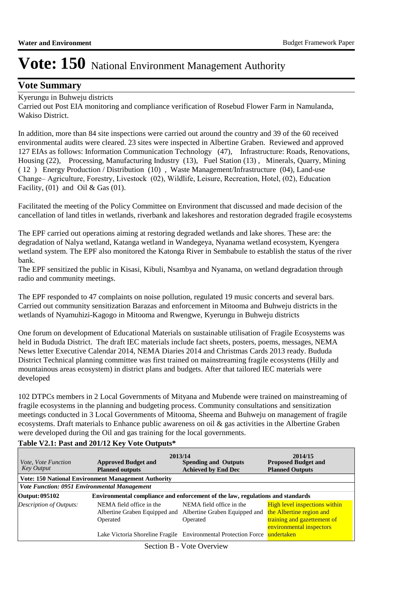### **Vote Summary**

### Kyerungu in Buhweju districts

Carried out Post EIA monitoring and compliance verification of Rosebud Flower Farm in Namulanda, Wakiso District.

In addition, more than 84 site inspections were carried out around the country and 39 of the 60 received environmental audits were cleared. 23 sites were inspected in Albertine Graben. Reviewed and approved 127 EIAs as follows: Information Communication Technology (47), Infrastructure: Roads, Renovations, Housing (22), Processing, Manufacturing Industry (13), Fuel Station (13) , Minerals, Quarry, Mining ( 12 ) Energy Production / Distribution (10) , Waste Management/Infrastructure (04), Land-use Change– Agriculture, Forestry, Livestock (02), Wildlife, Leisure, Recreation, Hotel, (02), Education Facility,  $(01)$  and Oil & Gas  $(01)$ .

Facilitated the meeting of the Policy Committee on Environment that discussed and made decision of the cancellation of land titles in wetlands, riverbank and lakeshores and restoration degraded fragile ecosystems

The EPF carried out operations aiming at restoring degraded wetlands and lake shores. These are: the degradation of Nalya wetland, Katanga wetland in Wandegeya, Nyanama wetland ecosystem, Kyengera wetland system. The EPF also monitored the Katonga River in Sembabule to establish the status of the river bank.

The EPF sensitized the public in Kisasi, Kibuli, Nsambya and Nyanama, on wetland degradation through radio and community meetings.

The EPF responded to 47 complaints on noise pollution, regulated 19 music concerts and several bars. Carried out community sensitization Barazas and enforcement in Mitooma and Buhweju districts in the wetlands of Nyamuhizi-Kagogo in Mitooma and Rwengwe, Kyerungu in Buhweju districts

One forum on development of Educational Materials on sustainable utilisation of Fragile Ecosystems was held in Bududa District. The draft IEC materials include fact sheets, posters, poems, messages, NEMA News letter Executive Calendar 2014, NEMA Diaries 2014 and Christmas Cards 2013 ready. Bududa District Technical planning committee was first trained on mainstreaming fragile ecosystems (Hilly and mountainous areas ecosystem) in district plans and budgets. After that tailored IEC materials were developed

102 DTPCs members in 2 Local Governments of Mityana and Mubende were trained on mainstreaming of fragile ecosystems in the planning and budgeting process. Community consultations and sensitization meetings conducted in 3 Local Governments of Mitooma, Sheema and Buhweju on management of fragile ecosystems. Draft materials to Enhance public awareness on oil & gas activities in the Albertine Graben were developed during the Oil and gas training for the local governments.

| <i>Vote, Vote Function</i><br><b>Key Output</b>     | <b>Approved Budget and</b><br><b>Planned outputs</b>                           | 2013/14<br><b>Spending and Outputs</b><br><b>Achieved by End Dec</b>  | 2014/15<br><b>Proposed Budget and</b><br><b>Planned Outputs</b>                                                             |
|-----------------------------------------------------|--------------------------------------------------------------------------------|-----------------------------------------------------------------------|-----------------------------------------------------------------------------------------------------------------------------|
|                                                     | <b>Vote: 150 National Environment Management Authority</b>                     |                                                                       |                                                                                                                             |
| <b>Vote Function: 0951 Environmental Management</b> |                                                                                |                                                                       |                                                                                                                             |
| Output: 095102                                      | Environmental compliance and enforcement of the law, regulations and standards |                                                                       |                                                                                                                             |
| Description of Outputs:                             | NEMA field office in the<br>Albertine Graben Equipped and<br>Operated          | NEMA field office in the<br>Albertine Graben Equipped and<br>Operated | <b>High level inspections within</b><br>the Albertine region and<br>training and gazettement of<br>environmental inspectors |
|                                                     |                                                                                | Lake Victoria Shoreline Fragile Environmental Protection Force        | undertaken                                                                                                                  |

### **Table V2.1: Past and 201/12 Key Vote Outputs\***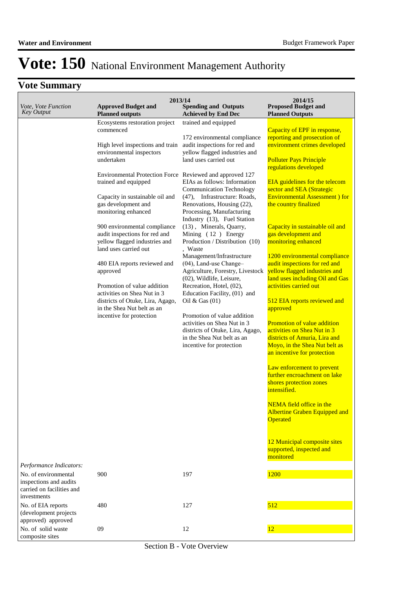# **Vote Summary**

| Vote, Vote Function<br><b>Key Output</b>                                                   | <b>Approved Budget and</b><br><b>Planned outputs</b>                                                                                                                                                                                                                                                                                                                                                                                                                                                                                                                                                                              | 2013/14<br><b>Spending and Outputs</b><br><b>Achieved by End Dec</b>                                                                                                                                                                                                                                                                                                                                                                                                                                                                                                                                                                                                                                                                                                                                             | 2014/15<br><b>Proposed Budget and</b><br><b>Planned Outputs</b>                                                                                                                                                                                                                                                                                                                                                                                                                                                                                                                                                                                                                                                                                                                                                                                                                                                                                                                                                                |
|--------------------------------------------------------------------------------------------|-----------------------------------------------------------------------------------------------------------------------------------------------------------------------------------------------------------------------------------------------------------------------------------------------------------------------------------------------------------------------------------------------------------------------------------------------------------------------------------------------------------------------------------------------------------------------------------------------------------------------------------|------------------------------------------------------------------------------------------------------------------------------------------------------------------------------------------------------------------------------------------------------------------------------------------------------------------------------------------------------------------------------------------------------------------------------------------------------------------------------------------------------------------------------------------------------------------------------------------------------------------------------------------------------------------------------------------------------------------------------------------------------------------------------------------------------------------|--------------------------------------------------------------------------------------------------------------------------------------------------------------------------------------------------------------------------------------------------------------------------------------------------------------------------------------------------------------------------------------------------------------------------------------------------------------------------------------------------------------------------------------------------------------------------------------------------------------------------------------------------------------------------------------------------------------------------------------------------------------------------------------------------------------------------------------------------------------------------------------------------------------------------------------------------------------------------------------------------------------------------------|
|                                                                                            | Ecosystems restoration project<br>commenced<br>High level inspections and train<br>environmental inspectors<br>undertaken<br>Environmental Protection Force Reviewed and approved 127<br>trained and equipped<br>Capacity in sustainable oil and<br>gas development and<br>monitoring enhanced<br>900 environmental compliance<br>audit inspections for red and<br>yellow flagged industries and<br>land uses carried out<br>480 EIA reports reviewed and<br>approved<br>Promotion of value addition<br>activities on Shea Nut in 3<br>districts of Otuke, Lira, Agago,<br>in the Shea Nut belt as an<br>incentive for protection | trained and equipped<br>172 environmental compliance<br>audit inspections for red and<br>yellow flagged industries and<br>land uses carried out<br>EIAs as follows: Information<br><b>Communication Technology</b><br>(47), Infrastructure: Roads,<br>Renovations, Housing (22),<br>Processing, Manufacturing<br>Industry (13), Fuel Station<br>(13), Minerals, Quarry,<br>Mining (12) Energy<br>Production / Distribution (10)<br>. Waste<br>Management/Infrastructure<br>$(04)$ , Land-use Change-<br>Agriculture, Forestry, Livestock<br>(02), Wildlife, Leisure,<br>Recreation, Hotel, (02),<br>Education Facility, (01) and<br>Oil & Gas $(01)$<br>Promotion of value addition<br>activities on Shea Nut in 3<br>districts of Otuke, Lira, Agago,<br>in the Shea Nut belt as an<br>incentive for protection | Capacity of EPF in response,<br>reporting and prosecution of<br>environment crimes developed<br><b>Polluter Pays Principle</b><br>regulations developed<br><b>EIA</b> guidelines for the telecom<br>sector and SEA (Strategic<br><b>Environmental Assessment</b> ) for<br>the country finalized<br>Capacity in sustainable oil and<br>gas development and<br>monitoring enhanced<br>1200 environmental compliance<br>audit inspections for red and<br>yellow flagged industries and<br>land uses including Oil and Gas<br>activities carried out<br>512 EIA reports reviewed and<br>approved<br><b>Promotion of value addition</b><br>activities on Shea Nut in 3<br>districts of Amuria, Lira and<br>Moyo, in the Shea Nut belt as<br>an incentive for protection<br>Law enforcement to prevent<br>further encroachment on lake<br>shores protection zones<br>intensified.<br><b>NEMA</b> field office in the<br><b>Albertine Graben Equipped and</b><br>Operated<br>12 Municipal composite sites<br>supported, inspected and |
| Performance Indicators:                                                                    |                                                                                                                                                                                                                                                                                                                                                                                                                                                                                                                                                                                                                                   |                                                                                                                                                                                                                                                                                                                                                                                                                                                                                                                                                                                                                                                                                                                                                                                                                  | monitored                                                                                                                                                                                                                                                                                                                                                                                                                                                                                                                                                                                                                                                                                                                                                                                                                                                                                                                                                                                                                      |
| No. of environmental<br>inspections and audits<br>carried on facilities and<br>investments | 900                                                                                                                                                                                                                                                                                                                                                                                                                                                                                                                                                                                                                               | 197                                                                                                                                                                                                                                                                                                                                                                                                                                                                                                                                                                                                                                                                                                                                                                                                              | 1200                                                                                                                                                                                                                                                                                                                                                                                                                                                                                                                                                                                                                                                                                                                                                                                                                                                                                                                                                                                                                           |
| No. of EIA reports<br>(development projects<br>approved) approved                          | 480                                                                                                                                                                                                                                                                                                                                                                                                                                                                                                                                                                                                                               | 127                                                                                                                                                                                                                                                                                                                                                                                                                                                                                                                                                                                                                                                                                                                                                                                                              | 512                                                                                                                                                                                                                                                                                                                                                                                                                                                                                                                                                                                                                                                                                                                                                                                                                                                                                                                                                                                                                            |
| No. of solid waste<br>composite sites                                                      | 09                                                                                                                                                                                                                                                                                                                                                                                                                                                                                                                                                                                                                                | 12                                                                                                                                                                                                                                                                                                                                                                                                                                                                                                                                                                                                                                                                                                                                                                                                               | 12                                                                                                                                                                                                                                                                                                                                                                                                                                                                                                                                                                                                                                                                                                                                                                                                                                                                                                                                                                                                                             |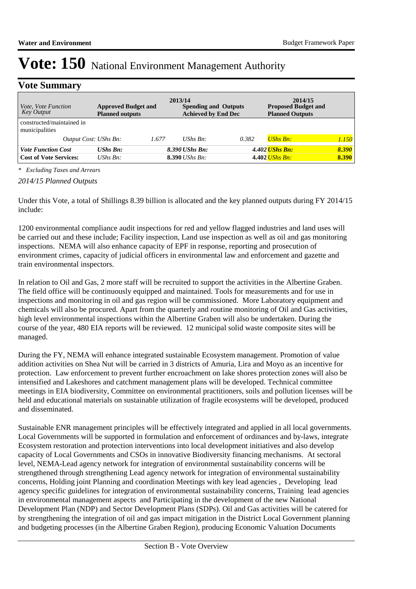## **Vote Summary**

| <i>Vote, Vote Function</i><br>Key Output                   | <b>Approved Budget and</b><br><b>Planned outputs</b> |       | 2013/14<br><b>Spending and Outputs</b><br><b>Achieved by End Dec</b> |       | 2014/15<br><b>Proposed Budget and</b><br><b>Planned Outputs</b> |                |
|------------------------------------------------------------|------------------------------------------------------|-------|----------------------------------------------------------------------|-------|-----------------------------------------------------------------|----------------|
| constructed/maintained in<br>municipalities                |                                                      |       |                                                                      |       |                                                                 |                |
| Output Cost: UShs Bn:                                      |                                                      | 1.677 | UShs $Bn$ :                                                          | 0.382 | <b>UShs Bn:</b>                                                 | 1.150          |
| <b>Vote Function Cost</b><br><b>Cost of Vote Services:</b> | $\mathbf{U}$ <i>Shs Bn:</i><br>UShs $Bn$ :           |       | 8.390 UShs Bn:<br><b>8.390</b> <i>UShs Bn:</i>                       |       | 4.402 <i>UShs Bn:</i><br>4.402 <i>UShs Bn:</i>                  | 8.390<br>8.390 |

*\* Excluding Taxes and Arrears*

*2014/15 Planned Outputs*

Under this Vote, a total of Shillings 8.39 billion is allocated and the key planned outputs during FY 2014/15 include:

1200 environmental compliance audit inspections for red and yellow flagged industries and land uses will be carried out and these include; Facility inspection, Land use inspection as well as oil and gas monitoring inspections. NEMA will also enhance capacity of EPF in response, reporting and prosecution of environment crimes, capacity of judicial officers in environmental law and enforcement and gazette and train environmental inspectors.

In relation to Oil and Gas, 2 more staff will be recruited to support the activities in the Albertine Graben. The field office will be continuously equipped and maintained. Tools for measurements and for use in inspections and monitoring in oil and gas region will be commissioned. More Laboratory equipment and chemicals will also be procured. Apart from the quarterly and routine monitoring of Oil and Gas activities, high level environmental inspections within the Albertine Graben will also be undertaken. During the course of the year, 480 EIA reports will be reviewed. 12 municipal solid waste composite sites will be managed.

During the FY, NEMA will enhance integrated sustainable Ecosystem management. Promotion of value addition activities on Shea Nut will be carried in 3 districts of Amuria, Lira and Moyo as an incentive for protection. Law enforcement to prevent further encroachment on lake shores protection zones will also be intensified and Lakeshores and catchment management plans will be developed. Technical committee meetings in EIA biodiversity, Committee on environmental practitioners, soils and pollution licenses will be held and educational materials on sustainable utilization of fragile ecosystems will be developed, produced and disseminated.

Sustainable ENR management principles will be effectively integrated and applied in all local governments. Local Governments will be supported in formulation and enforcement of ordinances and by-laws, integrate Ecosystem restoration and protection interventions into local development initiatives and also develop capacity of Local Governments and CSOs in innovative Biodiversity financing mechanisms. At sectoral level, NEMA-Lead agency network for integration of environmental sustainability concerns will be strengthened through strengthening Lead agency network for integration of environmental sustainability concerns, Holding joint Planning and coordination Meetings with key lead agencies , Developing lead agency specific guidelines for integration of environmental sustainability concerns, Training lead agencies in environmental management aspects and Participating in the development of the new National Development Plan (NDP) and Sector Development Plans (SDPs). Oil and Gas activities will be catered for by strengthening the integration of oil and gas impact mitigation in the District Local Government planning and budgeting processes (in the Albertine Graben Region), producing Economic Valuation Documents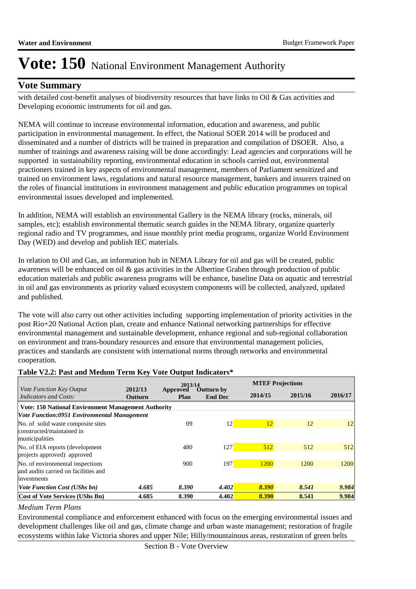### **Vote Summary**

with detailed cost-benefit analyses of biodiversity resources that have links to Oil & Gas activities and Developing economic instruments for oil and gas.

NEMA will continue to increase environmental information, education and awareness, and public participation in environmental management. In effect, the National SOER 2014 will be produced and disseminated and a number of districts will be trained in preparation and compilation of DSOER. Also, a number of trainings and awareness raising will be done accordingly: Lead agencies and corporations will be supported in sustainability reporting, environmental education in schools carried out, environmental practioners trained in key aspects of environmental management, members of Parliament sensitized and trained on environment laws, regulations and natural resource management, bankers and insurers trained on the roles of financial institutions in environment management and public education programmes on topical environmental issues developed and implemented.

In addition, NEMA will establish an environmental Gallery in the NEMA library (rocks, minerals, oil samples, etc); establish environmental thematic search guides in the NEMA library, organize quarterly regional radio and TV programmes, and issue monthly print media programs, organize World Environment Day (WED) and develop and publish IEC materials.

In relation to Oil and Gas, an information hub in NEMA Library for oil and gas will be created, public awareness will be enhanced on oil & gas activities in the Albertine Graben through production of public education materials and public awareness programs will be enhance, baseline Data on aquatic and terrestrial in oil and gas environments as priority valued ecosystem components will be collected, analyzed, updated and published.

The vote will also carry out other activities including supporting implementation of priority activities in the post Rio+20 National Action plan, create and enhance National networking partnerships for effective environmental management and sustainable development, enhance regional and sub-regional collaboration on environment and trans-boundary resources and ensure that environmental management policies, practices and standards are consistent with international norms through networks and environmental cooperation.

#### **Table V2.2: Past and Medum Term Key Vote Output Indicators\***

|                                                                          |                           | 2013/14          |                                     |         | <b>MTEF Projections</b> |         |
|--------------------------------------------------------------------------|---------------------------|------------------|-------------------------------------|---------|-------------------------|---------|
| Vote Function Key Output<br>Indicators and Costs:                        | 2012/13<br><b>Outturn</b> | Approved<br>Plan | <b>Outturn by</b><br><b>End Dec</b> | 2014/15 | 2015/16                 | 2016/17 |
| <b>Vote: 150 National Environment Management Authority</b>               |                           |                  |                                     |         |                         |         |
| Vote Function:0951 Environmental Management                              |                           |                  |                                     |         |                         |         |
| No. of solid waste composite sites                                       |                           | 09               | 12                                  | 12      | 12                      | 12      |
| constructed/maintained in<br>municipalities                              |                           |                  |                                     |         |                         |         |
| No. of EIA reports (development)<br>projects approved) approved          |                           | 480              | 127                                 | 512     | 512                     | 512     |
| No. of environmental inspections<br>and audits carried on facilities and |                           | 900              | 197                                 | 1200    | 1200                    | 1200    |
| investments                                                              |                           |                  |                                     |         |                         |         |
| <b>Vote Function Cost (UShs bn)</b>                                      | 4.685                     | 8.390            | 4.402                               | 8.390   | 8.541                   | 9.984   |
| <b>Cost of Vote Services (UShs Bn)</b>                                   | 4.685                     | 8.390            | 4.402                               | 8.390   | 8.541                   | 9.984   |

#### *Medium Term Plans*

Environmental compliance and enforcement enhanced with focus on the emerging environmental issues and development challenges like oil and gas, climate change and urban waste management; restoration of fragile ecosystems within lake Victoria shores and upper Nile; Hilly/mountainous areas, restoration of green belts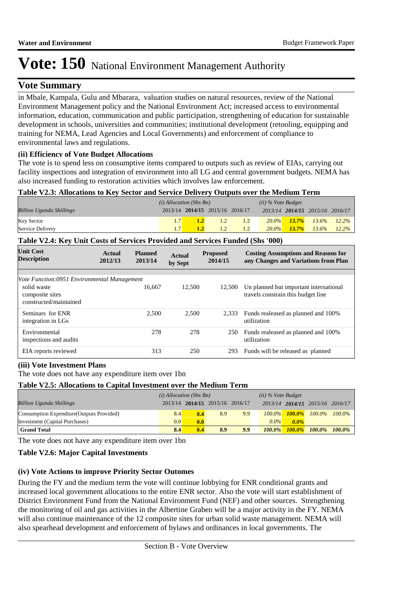## **Vote Summary**

in Mbale, Kampala, Gulu and Mbarara, valuation studies on natural resources, review of the National Environment Management policy and the National Environment Act; increased access to environmental information, education, communication and public participation, strengthening of education for sustainable development in schools, universities and communities; institutional development (retooling, equipping and training for NEMA, Lead Agencies and Local Governments) and enforcement of compliance to environmental laws and regulations.

#### **(ii) Efficiency of Vote Budget Allocations**

The vote is to spend less on consumptive items compared to outputs such as review of EIAs, carrying out facility inspections and integration of environment into all LG and central government budgets. NEMA has also increased funding to restoration activities which involves law enforcement.

#### **Table V2.3: Allocations to Key Sector and Service Delivery Outputs over the Medium Term**

|                                 | $(i)$ Allocation (Shs Bn) |                                 |     |  |          | $(ii)$ % Vote Budget |                                 |  |
|---------------------------------|---------------------------|---------------------------------|-----|--|----------|----------------------|---------------------------------|--|
| <b>Billion Uganda Shillings</b> |                           | 2013/14 2014/15 2015/16 2016/17 |     |  |          |                      | 2013/14 2014/15 2015/16 2016/17 |  |
| <b>Key Sector</b>               |                           |                                 | 1.2 |  |          |                      | $20.0\%$ 13.7% 13.6% 12.2%      |  |
| Service Delivery                |                           |                                 |     |  | $20.0\%$ |                      | $13.7\%$ $13.6\%$ $12.2\%$      |  |

#### **Table V2.4: Key Unit Costs of Services Provided and Services Funded (Shs '000)**

| <b>Unit Cost</b><br><b>Description</b>                                                                  | Actual<br>2012/13 | <b>Planned</b><br>2013/14 | Actual<br>by Sept | <b>Proposed</b><br>2014/15 | <b>Costing Assumptions and Reasons for</b><br>any Changes and Variations from Plan |
|---------------------------------------------------------------------------------------------------------|-------------------|---------------------------|-------------------|----------------------------|------------------------------------------------------------------------------------|
| Vote Function:0951 Environmental Management<br>solid waste<br>composite sites<br>constructed/maintained |                   | 16,667                    | 12,500            | 12.500                     | Un planned but important international<br>travels constrain this budget line       |
| Seminars for ENR<br>integration in LGs                                                                  |                   | 2.500                     | 2.500             | 2.333                      | Funds realeased as planned and 100%<br>utilization                                 |
| Environmental<br>inspections and audits                                                                 |                   | 278                       | 278               | 250                        | Funds realeased as planned and 100%<br>utilization                                 |
| EIA reports reviewed                                                                                    |                   | 313                       | 250               | 293                        | Funds will be released as planned                                                  |

#### **(iii) Vote Investment Plans**

The vote does not have any expenditure item over 1bn

#### **Table V2.5: Allocations to Capital Investment over the Medium Term**

|                                           | $(i)$ Allocation (Shs Bn) |     |                                 |     | $(ii)$ % Vote Budget |         |                                 |  |
|-------------------------------------------|---------------------------|-----|---------------------------------|-----|----------------------|---------|---------------------------------|--|
| <b>Billion Uganda Shillings</b>           |                           |     | 2013/14 2014/15 2015/16 2016/17 |     |                      |         | 2013/14 2014/15 2015/16 2016/17 |  |
| Consumption Expendture (Outputs Provided) | 8.4                       | 8.4 | 8.9                             | 9.9 | $100.0\%$            |         | $100.0\%$ $100.0\%$ $100.0\%$   |  |
| Investment (Capital Purchases)            | 0.0 <sub>l</sub>          | 0.0 |                                 |     | $0.0\%$              | $0.0\%$ |                                 |  |
| <b>Grand Total</b>                        | 8.4                       | 8.4 | 8.9                             | 9.9 | $100.0\%$            |         | $100.0\%$ $100.0\%$ $100.0\%$   |  |

The vote does not have any expenditure item over 1bn

#### **Table V2.6: Major Capital Investments**

#### **(iv) Vote Actions to improve Priority Sector Outomes**

During the FY and the medium term the vote will continue lobbying for ENR conditional grants and increased local government allocations to the entire ENR sector. Also the vote will start establishment of District Environment Fund from the National Environment Fund (NEF) and other sources. Strengthening the monitoring of oil and gas activities in the Albertine Graben will be a major activity in the FY. NEMA will also continue maintenance of the 12 composite sites for urban solid waste management. NEMA will also spearhead development and enforcement of bylaws and ordinances in local governments. The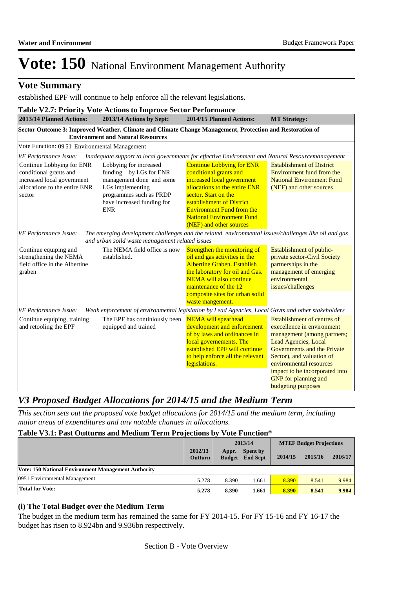## **Vote Summary**

established EPF will continue to help enforce all the relevant legislations.

|                                                                                                                              | <b>Table V2.7: Priority Vote Actions to Improve Sector Performance</b>                                                                                                  |                                                                                                                                                                                                                                                                                   |                                                                                                                                                                                                         |
|------------------------------------------------------------------------------------------------------------------------------|-------------------------------------------------------------------------------------------------------------------------------------------------------------------------|-----------------------------------------------------------------------------------------------------------------------------------------------------------------------------------------------------------------------------------------------------------------------------------|---------------------------------------------------------------------------------------------------------------------------------------------------------------------------------------------------------|
| 2013/14 Planned Actions:                                                                                                     | 2013/14 Actions by Sept:                                                                                                                                                | 2014/15 Planned Actions:                                                                                                                                                                                                                                                          | <b>MT Strategy:</b>                                                                                                                                                                                     |
|                                                                                                                              | Sector Outcome 3: Improved Weather, Climate and Climate Change Management, Protection and Restoration of<br><b>Environment and Natural Resources</b>                    |                                                                                                                                                                                                                                                                                   |                                                                                                                                                                                                         |
| Vote Function: 09 51 Environmental Management                                                                                |                                                                                                                                                                         |                                                                                                                                                                                                                                                                                   |                                                                                                                                                                                                         |
| VF Performance Issue:                                                                                                        | Inadequate support to local governments for effective Environment and Natural Resourcemanagement                                                                        |                                                                                                                                                                                                                                                                                   |                                                                                                                                                                                                         |
| Continue Lobbying for ENR<br>conditional grants and<br>increased local government<br>allocations to the entire ENR<br>sector | Lobbying for increased<br>funding by LGs for ENR<br>management done and some<br>LGs implementing<br>programmes such as PRDP<br>have increased funding for<br><b>ENR</b> | <b>Continue Lobbying for ENR</b><br>conditional grants and<br>increased local government<br>allocations to the entire ENR<br>sector. Start on the<br>establishment of District<br><b>Environment Fund from the</b><br><b>National Environment Fund</b><br>(NEF) and other sources | <b>Establishment of District</b><br>Environment fund from the<br><b>National Environment Fund</b><br>(NEF) and other sources                                                                            |
| VF Performance Issue:                                                                                                        | The emerging development challenges and the related environmental issues/challenges like oil and gas<br>and urban soild waste management related issues                 |                                                                                                                                                                                                                                                                                   |                                                                                                                                                                                                         |
| Continue equiping and<br>strengthening the NEMA<br>field office in the Albertine<br>graben                                   | The NEMA field office is now<br>established.                                                                                                                            | Strengthen the monitoring of<br>oil and gas activities in the<br><b>Albertine Graben. Establish</b><br>the laboratory for oil and Gas.<br><b>NEMA</b> will also continue<br>maintenance of the 12<br>composite sites for urban solid<br>waste mangement.                          | Establishment of public-<br>private sector-Civil Society<br>partnerships in the<br>management of emerging<br>environmental<br>issues/challenges                                                         |
| VF Performance Issue:                                                                                                        | Weak enforcement of environmental legislation by Lead Agencies, Local Govts and other stakeholders                                                                      |                                                                                                                                                                                                                                                                                   |                                                                                                                                                                                                         |
| Continue equiping, training<br>and retooling the EPF                                                                         | The EPF has continiously been<br>equipped and trained                                                                                                                   | <b>NEMA</b> will spearhead<br>development and enforcement<br>of by laws and ordinances in<br>local governements. The<br>established EPF will continue<br>to help enforce all the relevant<br>legislations.                                                                        | Establishment of centres of<br>execellence in environment<br>management (among partners;<br>Lead Agencies, Local<br>Governments and the Private<br>Sector), and valuation of<br>environmental resources |
|                                                                                                                              |                                                                                                                                                                         |                                                                                                                                                                                                                                                                                   | impact to be incorporated into<br><b>GNP</b> for planning and<br><b>budgeting purposes</b>                                                                                                              |

## *V3 Proposed Budget Allocations for 2014/15 and the Medium Term*

*This section sets out the proposed vote budget allocations for 2014/15 and the medium term, including major areas of expenditures and any notable changes in allocations.* 

### **Table V3.1: Past Outturns and Medium Term Projections by Vote Function\***

|                                                            |                           |                        | 2013/14                            |         | <b>MTEF Budget Projections</b> |         |
|------------------------------------------------------------|---------------------------|------------------------|------------------------------------|---------|--------------------------------|---------|
|                                                            | 2012/13<br><b>Outturn</b> | Appr.<br><b>Budget</b> | <b>Spent by</b><br><b>End Sept</b> | 2014/15 | 2015/16                        | 2016/17 |
| <b>Vote: 150 National Environment Management Authority</b> |                           |                        |                                    |         |                                |         |
| 0951 Environmental Management                              | 5.278                     | 8.390                  | .661                               | 8.390   | 8.541                          | 9.984   |
| <b>Total for Vote:</b>                                     | 5.278                     | 8.390                  | 1.661                              | 8.390   | 8.541                          | 9.984   |

#### **(i) The Total Budget over the Medium Term**

The budget in the medium term has remained the same for FY 2014-15. For FY 15-16 and FY 16-17 the budget has risen to 8.924bn and 9.936bn respectively.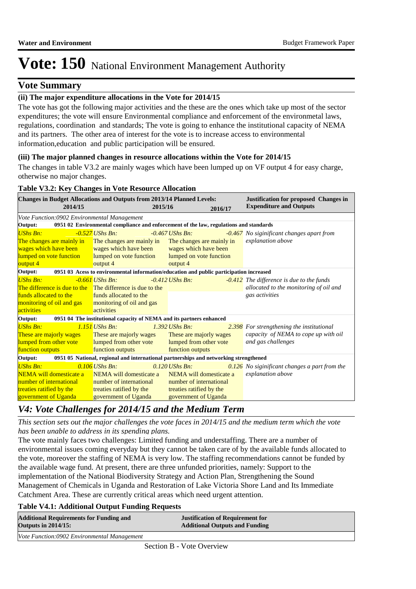## **Vote Summary**

## **(ii) The major expenditure allocations in the Vote for 2014/15**

The vote has got the following major activities and the these are the ones which take up most of the sector expenditures; the vote will ensure Environmental compliance and enforcement of the environmetal laws, regulations, coordination and standards; The vote is going to enhance the institutional capacity of NEMA and its partners. The other area of interest for the vote is to increase access to environmental information,education and public participation will be ensured.

### **(iii) The major planned changes in resource allocations within the Vote for 2014/15**

The changes in table V3.2 are mainly wages which have been lumped up on VF output 4 for easy charge, otherwise no major changes.

### **Table V3.2: Key Changes in Vote Resource Allocation**

| <b>Changes in Budget Allocations and Outputs from 2013/14 Planned Levels:</b><br>2014/15                                                          |                                                                                         | 2015/16 |                           | 2016/17 | <b>Justification for proposed Changes in</b><br><b>Expenditure and Outputs</b> |
|---------------------------------------------------------------------------------------------------------------------------------------------------|-----------------------------------------------------------------------------------------|---------|---------------------------|---------|--------------------------------------------------------------------------------|
| Vote Function:0902 Environmental Management                                                                                                       |                                                                                         |         |                           |         |                                                                                |
| Output:                                                                                                                                           | 0951 02 Environmental compliance and enforcement of the law, regulations and standards  |         |                           |         |                                                                                |
| <b>UShs Bn:</b>                                                                                                                                   | $-0.527$ UShs Bn:                                                                       |         | $-0.467$ UShs Bn:         |         | -0.467 No siginificant changes apart from                                      |
| The changes are mainly in The changes are mainly in                                                                                               |                                                                                         |         | The changes are mainly in |         | explanation above                                                              |
| wages which have been                                                                                                                             | wages which have been                                                                   |         | wages which have been     |         |                                                                                |
| lumped on vote function                                                                                                                           | lumped on vote function                                                                 |         | lumped on vote function   |         |                                                                                |
| <mark>output 4</mark>                                                                                                                             | output 4                                                                                |         | output 4                  |         |                                                                                |
| Output:                                                                                                                                           | 0951 03 Acess to environmental information/education and public participation increased |         |                           |         |                                                                                |
| <b>UShs Bn:</b>                                                                                                                                   | $-0.661$ UShs Bn:                                                                       |         | $-0.412$ UShs Bn:         |         | $-0.412$ The difference is due to the funds                                    |
| The difference is due to the $\Box$ The difference is due to the                                                                                  |                                                                                         |         |                           |         | allocated to the monitoring of oil and                                         |
| funds allocated to the                                                                                                                            | funds allocated to the                                                                  |         |                           |         | gas activities                                                                 |
| monitoring of oil and gas                                                                                                                         | monitoring of oil and gas                                                               |         |                           |         |                                                                                |
| activities                                                                                                                                        | activities                                                                              |         |                           |         |                                                                                |
| <b>Output:</b>                                                                                                                                    | 0951 04 The institutional capacity of NEMA and its partners enhanced                    |         |                           |         |                                                                                |
| <b>UShs Bn:</b>                                                                                                                                   | $1.151$ UShs Bn:                                                                        |         | $1.392$ UShs Bn:          |         | 2.398 For strengthening the institutional                                      |
| These are majorly wages                                                                                                                           | These are majorly wages                                                                 |         | These are majorly wages   |         | capacity of NEMA to cope up with oil                                           |
| lumped from other vote                                                                                                                            | lumped from other vote                                                                  |         | lumped from other vote    |         | and gas challenges                                                             |
| function outputs                                                                                                                                  | function outputs                                                                        |         | function outputs          |         |                                                                                |
| Output:                                                                                                                                           | 0951 05 National, regional and international partnerships and networking strengthened   |         |                           |         |                                                                                |
| <b>UShs Bn:</b>                                                                                                                                   | $0.106$ UShs Bn:                                                                        |         | $0.120$ UShs Bn:          |         | 0.126 No siginificant changes a part from the                                  |
| NEMA will domesticate a                                                                                                                           | NEMA will domesticate a                                                                 |         | NEMA will domesticate a   |         | explanation above                                                              |
| number of international                                                                                                                           | number of international                                                                 |         | number of international   |         |                                                                                |
| treaties ratified by the<br><b>Contract Contract Contract Contract Contract Contract Contract Contract Contract Contract Contract Contract Co</b> | treaties ratified by the                                                                |         | treaties ratified by the  |         |                                                                                |
| government of Uganda                                                                                                                              | government of Uganda                                                                    |         | government of Uganda      |         |                                                                                |

## *V4: Vote Challenges for 2014/15 and the Medium Term*

*This section sets out the major challenges the vote faces in 2014/15 and the medium term which the vote has been unable to address in its spending plans.*

The vote mainly faces two challenges: Limited funding and understaffing. There are a number of environmental issues coming everyday but they cannot be taken care of by the available funds allocated to the vote, moreover the staffing of NEMA is very low. The staffing recommendations cannot be funded by the available wage fund. At present, there are three unfunded priorities, namely: Support to the implementation of the National Biodiversity Strategy and Action Plan, Strengthening the Sound Management of Chemicals in Uganda and Restoration of Lake Victoria Shore Land and Its Immediate Catchment Area. These are currently critical areas which need urgent attention.

### **Table V4.1: Additional Output Funding Requests**

| <b>Additional Requirements for Funding and</b> | <b>Justification of Requirement for</b> |
|------------------------------------------------|-----------------------------------------|
| <b>Outputs in 2014/15:</b>                     | <b>Additional Outputs and Funding</b>   |
| Vote Function:0902 Environmental Management    |                                         |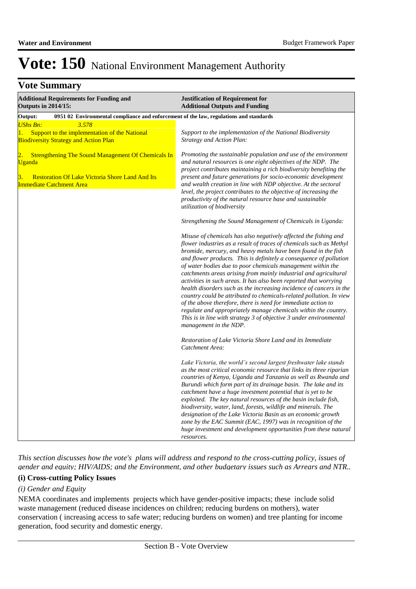## **Vote Summary**

| <b>Additional Requirements for Funding and</b><br><b>Outputs in 2014/15:</b>                                                                                                                      | <b>Justification of Requirement for</b><br><b>Additional Outputs and Funding</b>                                                                                                                                                                                                                                                                                                                                                                                                                                                                                                                                                                                                                                                                                                                                                                                          |  |  |  |  |  |  |
|---------------------------------------------------------------------------------------------------------------------------------------------------------------------------------------------------|---------------------------------------------------------------------------------------------------------------------------------------------------------------------------------------------------------------------------------------------------------------------------------------------------------------------------------------------------------------------------------------------------------------------------------------------------------------------------------------------------------------------------------------------------------------------------------------------------------------------------------------------------------------------------------------------------------------------------------------------------------------------------------------------------------------------------------------------------------------------------|--|--|--|--|--|--|
| 0951 02 Environmental compliance and enforcement of the law, regulations and standards<br>Output:                                                                                                 |                                                                                                                                                                                                                                                                                                                                                                                                                                                                                                                                                                                                                                                                                                                                                                                                                                                                           |  |  |  |  |  |  |
| <b>UShs Bn:</b><br>3.578                                                                                                                                                                          |                                                                                                                                                                                                                                                                                                                                                                                                                                                                                                                                                                                                                                                                                                                                                                                                                                                                           |  |  |  |  |  |  |
| Support to the implementation of the National<br>1.<br><b>Biodiversity Strategy and Action Plan</b>                                                                                               | Support to the implementation of the National Biodiversity<br><b>Strategy and Action Plan:</b>                                                                                                                                                                                                                                                                                                                                                                                                                                                                                                                                                                                                                                                                                                                                                                            |  |  |  |  |  |  |
| <b>Strengthening The Sound Management Of Chemicals In</b><br>$\overline{2}$ .<br><b>Uganda</b><br><b>Restoration Of Lake Victoria Shore Land And Its</b><br>3.<br><b>Immediate Catchment Area</b> | Promoting the sustainable population and use of the environment<br>and natural resources is one eight objectives of the NDP. The<br>project contributes maintaining a rich biodiversity benefiting the<br>present and future generations for socio-economic development<br>and wealth creation in line with NDP objective. At the sectoral<br>level, the project contributes to the objective of increasing the<br>productivity of the natural resource base and sustainable                                                                                                                                                                                                                                                                                                                                                                                              |  |  |  |  |  |  |
|                                                                                                                                                                                                   | utilization of biodiversity                                                                                                                                                                                                                                                                                                                                                                                                                                                                                                                                                                                                                                                                                                                                                                                                                                               |  |  |  |  |  |  |
|                                                                                                                                                                                                   | Strengthening the Sound Management of Chemicals in Uganda:                                                                                                                                                                                                                                                                                                                                                                                                                                                                                                                                                                                                                                                                                                                                                                                                                |  |  |  |  |  |  |
|                                                                                                                                                                                                   | Misuse of chemicals has also negatively affected the fishing and<br>flower industries as a result of traces of chemicals such as Methyl<br>bromide, mercury, and heavy metals have been found in the fish<br>and flower products. This is definitely a consequence of pollution<br>of water bodies due to poor chemicals management within the<br>catchments areas arising from mainly industrial and agricultural<br>activities in such areas. It has also been reported that worrying<br>health disorders such as the increasing incidence of cancers in the<br>country could be attributed to chemicals-related pollution. In view<br>of the above therefore, there is need for immediate action to<br>regulate and appropriately manage chemicals within the country.<br>This is in line with strategy 3 of objective 3 under environmental<br>management in the NDP. |  |  |  |  |  |  |
|                                                                                                                                                                                                   | Restoration of Lake Victoria Shore Land and its Immediate<br>Catchment Area:                                                                                                                                                                                                                                                                                                                                                                                                                                                                                                                                                                                                                                                                                                                                                                                              |  |  |  |  |  |  |
|                                                                                                                                                                                                   | Lake Victoria, the world's second largest freshwater lake stands<br>as the most critical economic resource that links its three riparian<br>countries of Kenya, Uganda and Tanzania as well as Rwanda and<br>Burundi which form part of its drainage basin. The lake and its<br>catchment have a huge investment potential that is yet to be<br>exploited. The key natural resources of the basin include fish,<br>biodiversity, water, land, forests, wildlife and minerals. The<br>designation of the Lake Victoria Basin as an economic growth<br>zone by the EAC Summit (EAC, 1997) was in recognition of the<br>huge investment and development opportunities from these natural<br>resources.                                                                                                                                                                       |  |  |  |  |  |  |

*This section discusses how the vote's plans will address and respond to the cross-cutting policy, issues of gender and equity; HIV/AIDS; and the Environment, and other budgetary issues such as Arrears and NTR..* 

#### **(i) Cross-cutting Policy Issues**

#### *(i) Gender and Equity*

NEMA coordinates and implements projects which have gender-positive impacts; these include solid waste management (reduced disease incidences on children; reducing burdens on mothers), water conservation ( increasing access to safe water; reducing burdens on women) and tree planting for income generation, food security and domestic energy.